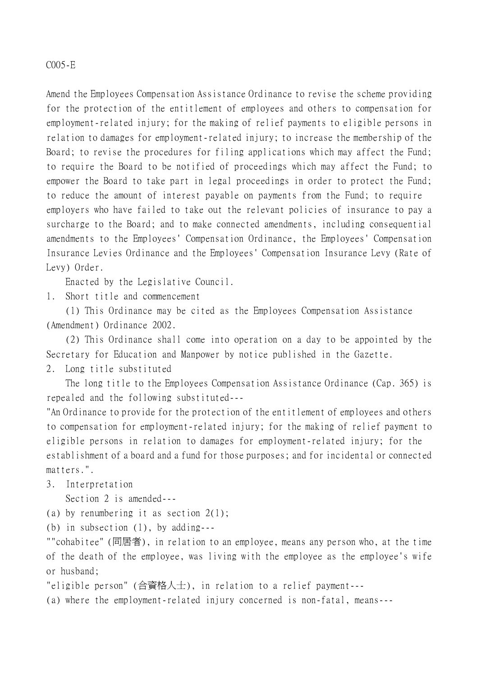## C005-E

Amend the Employees Compensation Assistance Ordinance to revise the scheme providing for the protection of the entitlement of employees and others to compensation for employment-related injury; for the making of relief payments to eligible persons in relation to damages for employment-related injury; to increase the membership of the Board; to revise the procedures for filing applications which may affect the Fund; to require the Board to be notified of proceedings which may affect the Fund; to empower the Board to take part in legal proceedings in order to protect the Fund; to reduce the amount of interest payable on payments from the Fund; to require employers who have failed to take out the relevant policies of insurance to pay a surcharge to the Board; and to make connected amendments, including consequential amendments to the Employees' Compensation Ordinance, the Employees' Compensation Insurance Levies Ordinance and the Employees' Compensation Insurance Levy (Rate of Levy) Order.

Enacted by the Legislative Council.

1. Short title and commencement

(1) This Ordinance may be cited as the Employees Compensation Assistance (Amendment) Ordinance 2002.

(2) This Ordinance shall come into operation on a day to be appointed by the Secretary for Education and Manpower by notice published in the Gazette.

2. Long title substituted

The long title to the Employees Compensation Assistance Ordinance (Cap. 365) is repealed and the following substituted---

"An Ordinance to provide for the protection of the entitlement of employees and others to compensation for employment-related injury; for the making of relief payment to eligible persons in relation to damages for employment-related injury; for the establishment of a board and a fund for those purposes; and for incidental or connected matters.".

3. Interpretation

Section 2 is amended---

(a) by renumbering it as section 2(1);

(b) in subsection (1), by adding---

""cohabitee" (同居者), in relation to an employee, means any person who, at the time of the death of the employee, was living with the employee as the employee's wife or husband;

"eligible person" (合資格㆟士), in relation to a relief payment---

(a) where the employment-related injury concerned is non-fatal, means---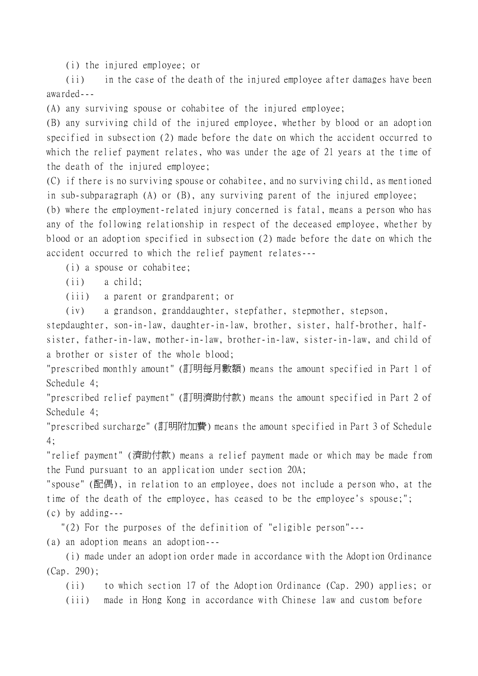(i) the injured employee; or

(ii) in the case of the death of the injured employee after damages have been awarded---

(A) any surviving spouse or cohabitee of the injured employee;

(B) any surviving child of the injured employee, whether by blood or an adoption specified in subsection (2) made before the date on which the accident occurred to which the relief payment relates, who was under the age of 21 years at the time of the death of the injured employee;

(C) if there is no surviving spouse or cohabitee, and no surviving child, as mentioned in sub-subparagraph (A) or (B), any surviving parent of the injured employee;

(b) where the employment-related injury concerned is fatal, means a person who has any of the following relationship in respect of the deceased employee, whether by blood or an adoption specified in subsection (2) made before the date on which the accident occurred to which the relief payment relates---

(i) a spouse or cohabitee;

(ii) a child;

(iii) a parent or grandparent; or

(iv) a grandson, granddaughter, stepfather, stepmother, stepson,

stepdaughter, son-in-law, daughter-in-law, brother, sister, half-brother, halfsister, father-in-law, mother-in-law, brother-in-law, sister-in-law, and child of a brother or sister of the whole blood;

"prescribed monthly amount" (訂明每月數額) means the amount specified in Part 1 of Schedule 4;

"prescribed relief payment" (訂明濟助付款) means the amount specified in Part 2 of Schedule 4;

"prescribed surcharge" (訂明附加費) means the amount specified in Part 3 of Schedule 4;

"relief payment" (濟助付款) means a relief payment made or which may be made from the Fund pursuant to an application under section 20A;

"spouse" (配偶), in relation to an employee, does not include a person who, at the time of the death of the employee, has ceased to be the employee's spouse;"; (c) by adding---

"(2) For the purposes of the definition of "eligible person"---

(a) an adoption means an adoption---

(i) made under an adoption order made in accordance with the Adoption Ordinance (Cap. 290);

(ii) to which section 17 of the Adoption Ordinance (Cap. 290) applies; or (iii) made in Hong Kong in accordance with Chinese law and custom before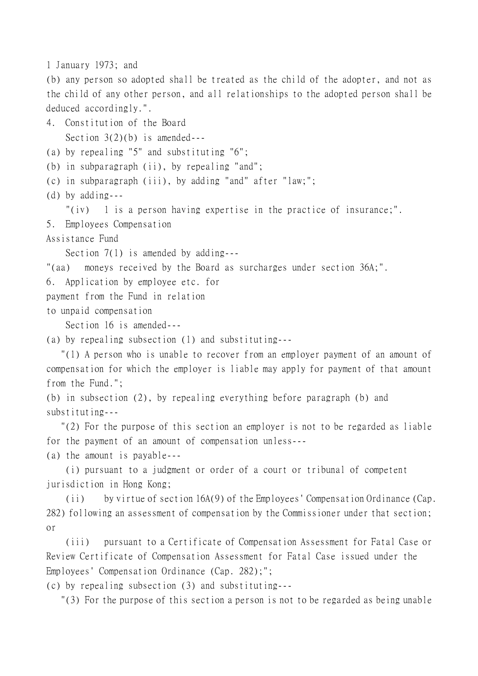```
1 January 1973; and
```
(b) any person so adopted shall be treated as the child of the adopter, and not as the child of any other person, and all relationships to the adopted person shall be deduced accordingly.".

4. Constitution of the Board Section  $3(2)(b)$  is amended---

(a) by repealing "5" and substituting "6";

(b) in subparagraph (ii), by repealing "and";

(c) in subparagraph (iii), by adding "and" after "law;";

(d) by adding---

"(iv) 1 is a person having expertise in the practice of insurance;".

5. Employees Compensation

Assistance Fund

Section 7(1) is amended by adding---

"(aa) moneys received by the Board as surcharges under section 36A;".

6. Application by employee etc. for

payment from the Fund in relation

to unpaid compensation

Section 16 is amended---

(a) by repealing subsection (1) and substituting---

 "(1) A person who is unable to recover from an employer payment of an amount of compensation for which the employer is liable may apply for payment of that amount from the Fund.";

(b) in subsection (2), by repealing everything before paragraph (b) and substituting---

 "(2) For the purpose of this section an employer is not to be regarded as liable for the payment of an amount of compensation unless---

(a) the amount is payable---

(i) pursuant to a judgment or order of a court or tribunal of competent jurisdiction in Hong Kong;

(ii) by virtue of section 16A(9) of the Employees' Compensation Ordinance (Cap. 282) following an assessment of compensation by the Commissioner under that section; or

(iii) pursuant to a Certificate of Compensation Assessment for Fatal Case or Review Certificate of Compensation Assessment for Fatal Case issued under the Employees' Compensation Ordinance (Cap. 282);";

(c) by repealing subsection (3) and substituting---

"(3) For the purpose of this section a person is not to be regarded as being unable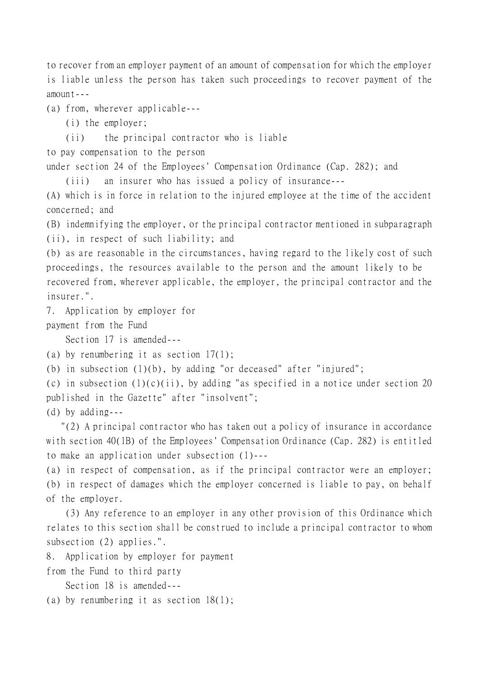to recover from an employer payment of an amount of compensation for which the employer is liable unless the person has taken such proceedings to recover payment of the amount---

(a) from, wherever applicable---

(i) the employer;

(ii) the principal contractor who is liable

to pay compensation to the person

under section 24 of the Employees' Compensation Ordinance (Cap. 282); and

(iii) an insurer who has issued a policy of insurance---

(A) which is in force in relation to the injured employee at the time of the accident concerned; and

(B) indemnifying the employer, or the principal contractor mentioned in subparagraph (ii), in respect of such liability; and

(b) as are reasonable in the circumstances, having regard to the likely cost of such proceedings, the resources available to the person and the amount likely to be recovered from, wherever applicable, the employer, the principal contractor and the insurer.".

7. Application by employer for

payment from the Fund

Section 17 is amended---

```
(a) by renumbering it as section 17(1);
```
(b) in subsection (1)(b), by adding "or deceased" after "injured";

(c) in subsection  $(1)(c)(ii)$ , by adding "as specified in a notice under section 20 published in the Gazette" after "insolvent";

(d) by adding---

 "(2) A principal contractor who has taken out a policy of insurance in accordance with section 40(1B) of the Employees' Compensation Ordinance (Cap. 282) is entitled to make an application under subsection (1)---

(a) in respect of compensation, as if the principal contractor were an employer; (b) in respect of damages which the employer concerned is liable to pay, on behalf of the employer.

(3) Any reference to an employer in any other provision of this Ordinance which relates to this section shall be construed to include a principal contractor to whom subsection (2) applies.".

8. Application by employer for payment

from the Fund to third party

Section 18 is amended---

(a) by renumbering it as section 18(1);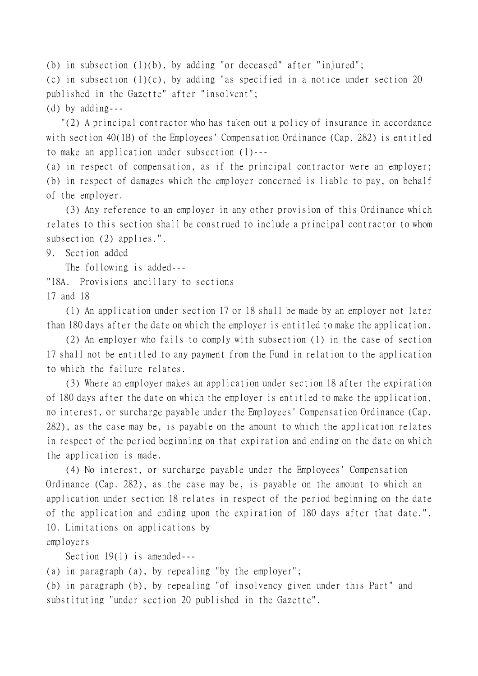(b) in subsection  $(1)(b)$ , by adding "or deceased" after "injured"; (c) in subsection  $(1)(c)$ , by adding "as specified in a notice under section 20 published in the Gazette" after "insolvent"; (d) by adding---

 "(2) A principal contractor who has taken out a policy of insurance in accordance with section 40(1B) of the Employees' Compensation Ordinance (Cap. 282) is entitled to make an application under subsection (1)---

(a) in respect of compensation, as if the principal contractor were an employer;

(b) in respect of damages which the employer concerned is liable to pay, on behalf of the employer.

(3) Any reference to an employer in any other provision of this Ordinance which relates to this section shall be construed to include a principal contractor to whom subsection (2) applies.".

9. Section added

The following is added---

"18A. Provisions ancillary to sections

17 and 18

(1) An application under section 17 or 18 shall be made by an employer not later than 180 days after the date on which the employer is entitled to make the application.

(2) An employer who fails to comply with subsection (1) in the case of section 17 shall not be entitled to any payment from the Fund in relation to the application to which the failure relates.

(3) Where an employer makes an application under section 18 after the expiration of 180 days after the date on which the employer is entitled to make the application, no interest, or surcharge payable under the Employees' Compensation Ordinance (Cap. 282), as the case may be, is payable on the amount to which the application relates in respect of the period beginning on that expiration and ending on the date on which the application is made.

(4) No interest, or surcharge payable under the Employees' Compensation Ordinance (Cap. 282), as the case may be, is payable on the amount to which an application under section 18 relates in respect of the period beginning on the date of the application and ending upon the expiration of 180 days after that date.". 10. Limitations on applications by employers

Section 19(1) is amended---

(a) in paragraph (a), by repealing "by the employer";

(b) in paragraph (b), by repealing "of insolvency given under this Part" and substituting "under section 20 published in the Gazette".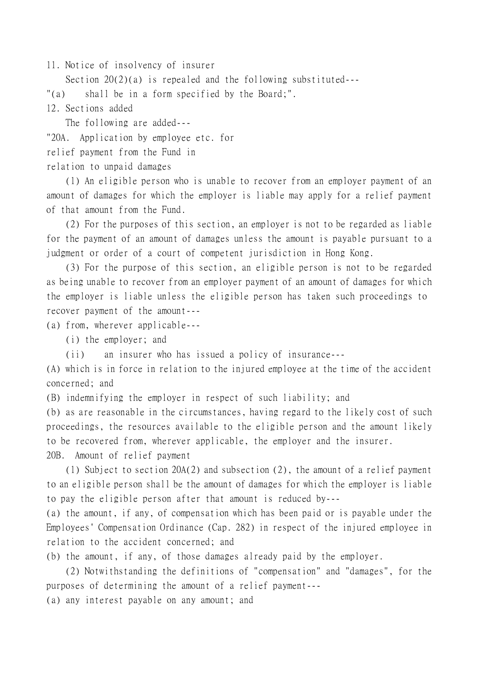11. Notice of insolvency of insurer

Section 20(2)(a) is repealed and the following substituted---

"(a) shall be in a form specified by the Board;".

12. Sections added

The following are added--- "20A. Application by employee etc. for relief payment from the Fund in relation to unpaid damages

(1) An eligible person who is unable to recover from an employer payment of an amount of damages for which the employer is liable may apply for a relief payment of that amount from the Fund.

(2) For the purposes of this section, an employer is not to be regarded as liable for the payment of an amount of damages unless the amount is payable pursuant to a judgment or order of a court of competent jurisdiction in Hong Kong.

(3) For the purpose of this section, an eligible person is not to be regarded as being unable to recover from an employer payment of an amount of damages for which the employer is liable unless the eligible person has taken such proceedings to recover payment of the amount---

(a) from, wherever applicable---

(i) the employer; and

(ii) an insurer who has issued a policy of insurance---

(A) which is in force in relation to the injured employee at the time of the accident concerned; and

(B) indemnifying the employer in respect of such liability; and

(b) as are reasonable in the circumstances, having regard to the likely cost of such proceedings, the resources available to the eligible person and the amount likely to be recovered from, wherever applicable, the employer and the insurer. 20B. Amount of relief payment

(1) Subject to section 20A(2) and subsection (2), the amount of a relief payment to an eligible person shall be the amount of damages for which the employer is liable to pay the eligible person after that amount is reduced by---

(a) the amount, if any, of compensation which has been paid or is payable under the Employees' Compensation Ordinance (Cap. 282) in respect of the injured employee in relation to the accident concerned; and

(b) the amount, if any, of those damages already paid by the employer.

(2) Notwithstanding the definitions of "compensation" and "damages", for the purposes of determining the amount of a relief payment---

(a) any interest payable on any amount; and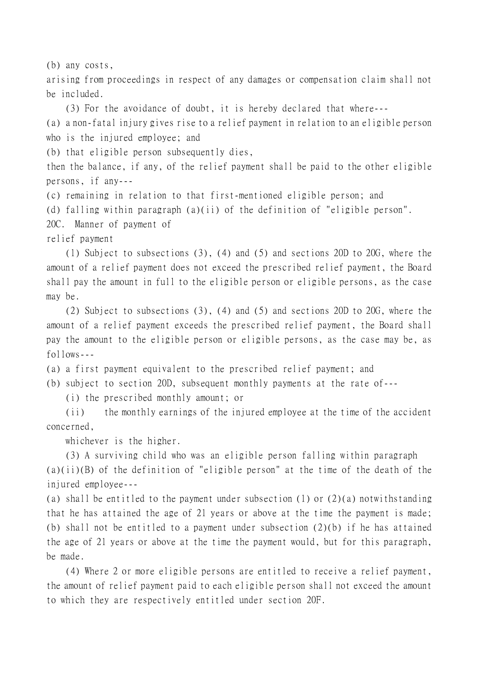(b) any costs,

arising from proceedings in respect of any damages or compensation claim shall not be included.

(3) For the avoidance of doubt, it is hereby declared that where---

(a) a non-fatal injury gives rise to a relief payment in relation to an eligible person who is the injured employee; and

(b) that eligible person subsequently dies,

then the balance, if any, of the relief payment shall be paid to the other eligible persons, if any---

(c) remaining in relation to that first-mentioned eligible person; and

(d) falling within paragraph (a)(ii) of the definition of "eligible person".

20C. Manner of payment of

relief payment

(1) Subject to subsections (3), (4) and (5) and sections 20D to 20G, where the amount of a relief payment does not exceed the prescribed relief payment, the Board shall pay the amount in full to the eligible person or eligible persons, as the case may be.

(2) Subject to subsections (3), (4) and (5) and sections 20D to 20G, where the amount of a relief payment exceeds the prescribed relief payment, the Board shall pay the amount to the eligible person or eligible persons, as the case may be, as  $f$ ollows---

(a) a first payment equivalent to the prescribed relief payment; and

(b) subject to section 20D, subsequent monthly payments at the rate of---

(i) the prescribed monthly amount; or

(ii) the monthly earnings of the injured employee at the time of the accident concerned,

whichever is the higher.

(3) A surviving child who was an eligible person falling within paragraph (a)(ii)(B) of the definition of "eligible person" at the time of the death of the injured employee---

(a) shall be entitled to the payment under subsection (1) or  $(2)(a)$  notwithstanding that he has attained the age of 21 years or above at the time the payment is made; (b) shall not be entitled to a payment under subsection (2)(b) if he has attained the age of 21 years or above at the time the payment would, but for this paragraph, be made.

(4) Where 2 or more eligible persons are entitled to receive a relief payment, the amount of relief payment paid to each eligible person shall not exceed the amount to which they are respectively entitled under section 20F.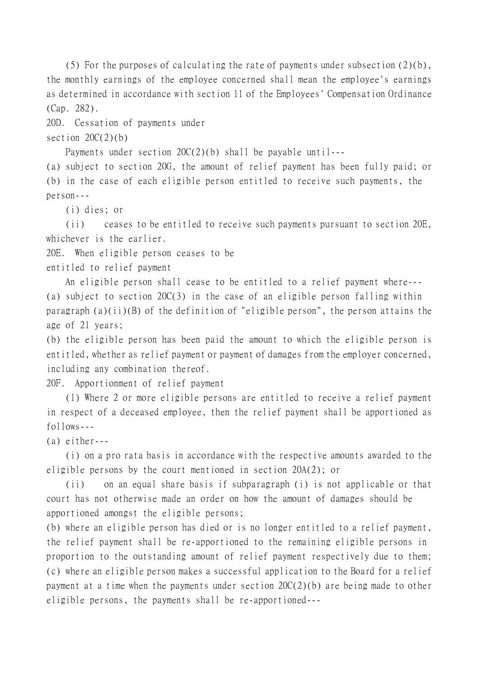(5) For the purposes of calculating the rate of payments under subsection (2)(b), the monthly earnings of the employee concerned shall mean the employee's earnings as determined in accordance with section 11 of the Employees' Compensation Ordinance (Cap. 282).

20D. Cessation of payments under

section  $20C(2)(b)$ 

Payments under section 20C(2)(b) shall be payable until---

(a) subject to section 20G, the amount of relief payment has been fully paid; or (b) in the case of each eligible person entitled to receive such payments, the person---

(i) dies; or

(ii) ceases to be entitled to receive such payments pursuant to section 20E, whichever is the earlier.

20E. When eligible person ceases to be

entitled to relief payment

An eligible person shall cease to be entitled to a relief payment where--- (a) subject to section 20C(3) in the case of an eligible person falling within paragraph (a)(ii)(B) of the definition of "eligible person", the person attains the age of 21 years;

(b) the eligible person has been paid the amount to which the eligible person is entitled, whether as relief payment or payment of damages from the employer concerned, including any combination thereof.

20F. Apportionment of relief payment

(1) Where 2 or more eligible persons are entitled to receive a relief payment in respect of a deceased employee, then the relief payment shall be apportioned as  $f$ ollows---

(a) either---

(i) on a pro rata basis in accordance with the respective amounts awarded to the eligible persons by the court mentioned in section 20A(2); or

(ii) on an equal share basis if subparagraph (i) is not applicable or that court has not otherwise made an order on how the amount of damages should be apportioned amongst the eligible persons;

(b) where an eligible person has died or is no longer entitled to a relief payment, the relief payment shall be re-apportioned to the remaining eligible persons in proportion to the outstanding amount of relief payment respectively due to them; (c) where an eligible person makes a successful application to the Board for a relief payment at a time when the payments under section  $20C(2)(b)$  are being made to other eligible persons, the payments shall be re-apportioned---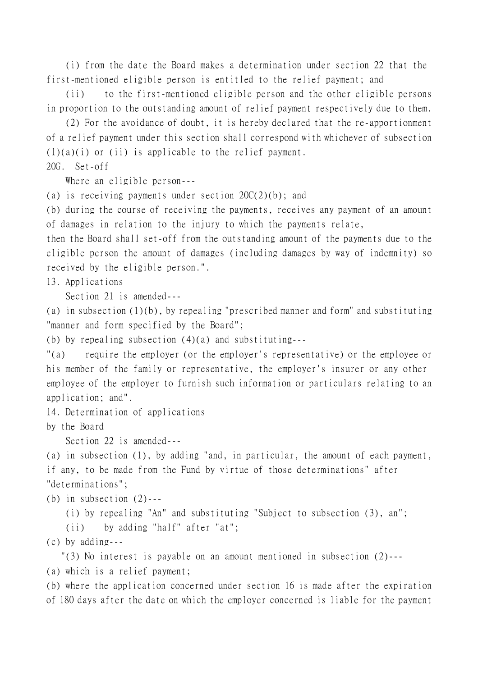(i) from the date the Board makes a determination under section 22 that the first-mentioned eligible person is entitled to the relief payment; and

(ii) to the first-mentioned eligible person and the other eligible persons in proportion to the outstanding amount of relief payment respectively due to them.

(2) For the avoidance of doubt, it is hereby declared that the re-apportionment of a relief payment under this section shall correspond with whichever of subsection  $(1)(a)(i)$  or  $(ii)$  is applicable to the relief payment. 20G. Set-off

Where an eligible person---

(a) is receiving payments under section  $20C(2)(b)$ ; and

(b) during the course of receiving the payments, receives any payment of an amount of damages in relation to the injury to which the payments relate,

then the Board shall set-off from the outstanding amount of the payments due to the eligible person the amount of damages (including damages by way of indemnity) so received by the eligible person.".

13. Applications

Section 21 is amended---

(a) in subsection (1)(b), by repealing "prescribed manner and form" and substituting "manner and form specified by the Board";

(b) by repealing subsection (4)(a) and substituting---

"(a) require the employer (or the employer's representative) or the employee or his member of the family or representative, the employer's insurer or any other employee of the employer to furnish such information or particulars relating to an application; and".

14. Determination of applications

by the Board

Section 22 is amended---

(a) in subsection (1), by adding "and, in particular, the amount of each payment, if any, to be made from the Fund by virtue of those determinations" after "determinations";

(b) in subsection  $(2)$ ---

(i) by repealing "An" and substituting "Subject to subsection (3), an";

(ii) by adding "half" after "at";

(c) by adding---

"(3) No interest is payable on an amount mentioned in subsection (2)---

(a) which is a relief payment;

(b) where the application concerned under section 16 is made after the expiration of 180 days after the date on which the employer concerned is liable for the payment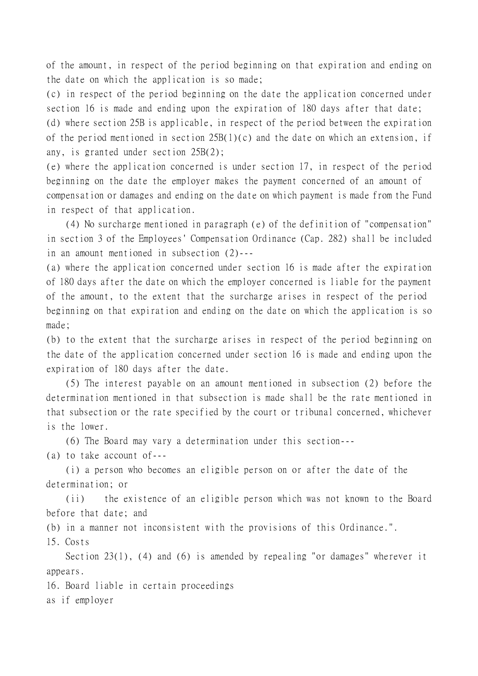of the amount, in respect of the period beginning on that expiration and ending on the date on which the application is so made;

(c) in respect of the period beginning on the date the application concerned under section 16 is made and ending upon the expiration of 180 days after that date;

(d) where section 25B is applicable, in respect of the period between the expiration of the period mentioned in section  $25B(1)(c)$  and the date on which an extension, if any, is granted under section 25B(2);

(e) where the application concerned is under section 17, in respect of the period beginning on the date the employer makes the payment concerned of an amount of compensation or damages and ending on the date on which payment is made from the Fund in respect of that application.

(4) No surcharge mentioned in paragraph (e) of the definition of "compensation" in section 3 of the Employees' Compensation Ordinance (Cap. 282) shall be included in an amount mentioned in subsection (2)---

(a) where the application concerned under section 16 is made after the expiration of 180 days after the date on which the employer concerned is liable for the payment of the amount, to the extent that the surcharge arises in respect of the period beginning on that expiration and ending on the date on which the application is so made;

(b) to the extent that the surcharge arises in respect of the period beginning on the date of the application concerned under section 16 is made and ending upon the expiration of 180 days after the date.

(5) The interest payable on an amount mentioned in subsection (2) before the determination mentioned in that subsection is made shall be the rate mentioned in that subsection or the rate specified by the court or tribunal concerned, whichever is the lower.

(6) The Board may vary a determination under this section---

(a) to take account of---

(i) a person who becomes an eligible person on or after the date of the determination; or

(ii) the existence of an eligible person which was not known to the Board before that date; and

(b) in a manner not inconsistent with the provisions of this Ordinance.".

15. Costs

Section 23(1), (4) and (6) is amended by repealing "or damages" wherever it appears.

16. Board liable in certain proceedings

as if employer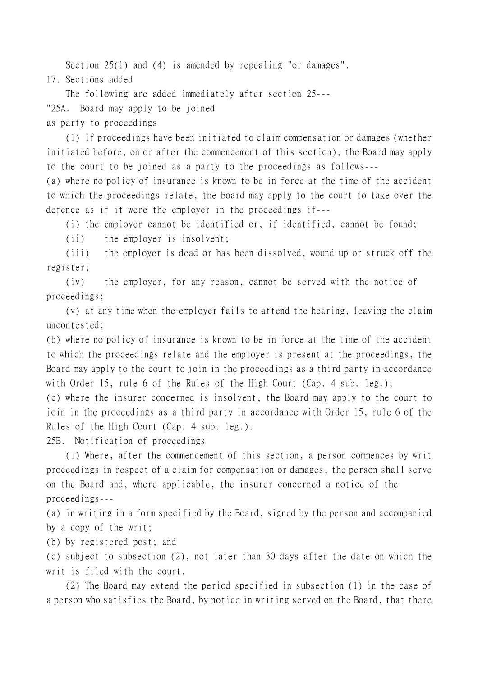Section 25(1) and (4) is amended by repealing "or damages".

17. Sections added

The following are added immediately after section 25--- "25A. Board may apply to be joined

as party to proceedings

(1) If proceedings have been initiated to claim compensation or damages (whether initiated before, on or after the commencement of this section), the Board may apply to the court to be joined as a party to the proceedings as follows---

(a) where no policy of insurance is known to be in force at the time of the accident to which the proceedings relate, the Board may apply to the court to take over the defence as if it were the employer in the proceedings if---

(i) the employer cannot be identified or, if identified, cannot be found;

(ii) the employer is insolvent;

(iii) the employer is dead or has been dissolved, wound up or struck off the register;

(iv) the employer, for any reason, cannot be served with the notice of proceedings;

(v) at any time when the employer fails to attend the hearing, leaving the claim uncontested;

(b) where no policy of insurance is known to be in force at the time of the accident to which the proceedings relate and the employer is present at the proceedings, the Board may apply to the court to join in the proceedings as a third party in accordance with Order 15, rule 6 of the Rules of the High Court (Cap. 4 sub. leg.);

(c) where the insurer concerned is insolvent, the Board may apply to the court to join in the proceedings as a third party in accordance with Order 15, rule 6 of the Rules of the High Court (Cap. 4 sub. leg.).

25B. Notification of proceedings

(1) Where, after the commencement of this section, a person commences by writ proceedings in respect of a claim for compensation or damages, the person shall serve on the Board and, where applicable, the insurer concerned a notice of the proceedings---

(a) in writing in a form specified by the Board, signed by the person and accompanied by a copy of the writ;

(b) by registered post; and

(c) subject to subsection (2), not later than 30 days after the date on which the writ is filed with the court.

(2) The Board may extend the period specified in subsection (1) in the case of a person who satisfies the Board, by notice in writing served on the Board, that there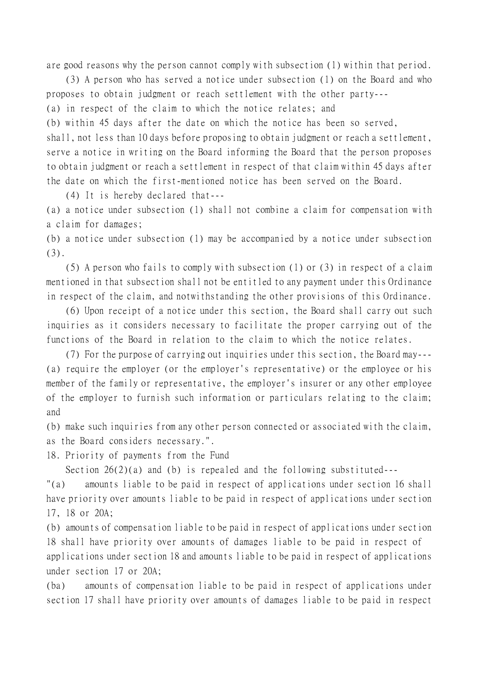are good reasons why the person cannot comply with subsection (1) within that period.

(3) A person who has served a notice under subsection (1) on the Board and who proposes to obtain judgment or reach settlement with the other party---

(a) in respect of the claim to which the notice relates; and

(b) within 45 days after the date on which the notice has been so served,

shall, not less than 10 days before proposing to obtain judgment or reach a settlement, serve a notice in writing on the Board informing the Board that the person proposes to obtain judgment or reach a settlement in respect of that claim within 45 days after the date on which the first-mentioned notice has been served on the Board.

(4) It is hereby declared that---

(a) a notice under subsection (1) shall not combine a claim for compensation with a claim for damages;

(b) a notice under subsection (1) may be accompanied by a notice under subsection (3).

(5) A person who fails to comply with subsection (1) or (3) in respect of a claim mentioned in that subsection shall not be entitled to any payment under this Ordinance in respect of the claim, and notwithstanding the other provisions of this Ordinance.

(6) Upon receipt of a notice under this section, the Board shall carry out such inquiries as it considers necessary to facilitate the proper carrying out of the functions of the Board in relation to the claim to which the notice relates.

(7) For the purpose of carrying out inquiries under this section, the Board may--- (a) require the employer (or the employer's representative) or the employee or his member of the family or representative, the employer's insurer or any other employee of the employer to furnish such information or particulars relating to the claim; and

(b) make such inquiries from any other person connected or associated with the claim, as the Board considers necessary.".

18. Priority of payments from the Fund

Section 26(2)(a) and (b) is repealed and the following substituted---

"(a) amounts liable to be paid in respect of applications under section 16 shall have priority over amounts liable to be paid in respect of applications under section 17, 18 or 20A;

(b) amounts of compensation liable to be paid in respect of applications under section 18 shall have priority over amounts of damages liable to be paid in respect of applications under section 18 and amounts liable to be paid in respect of applications under section 17 or 20A;

(ba) amounts of compensation liable to be paid in respect of applications under section 17 shall have priority over amounts of damages liable to be paid in respect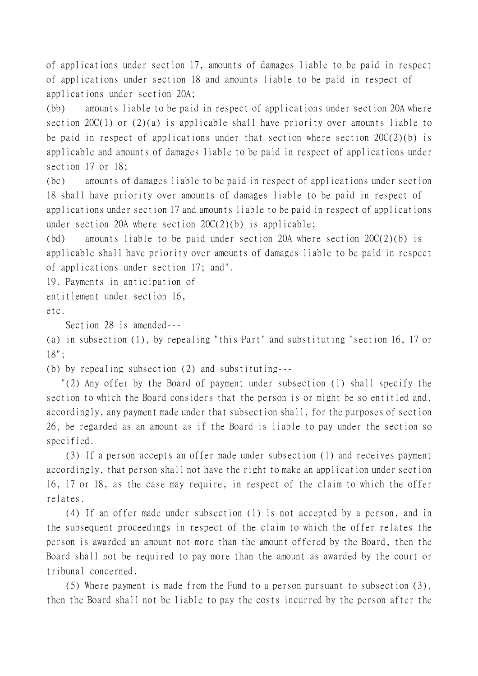of applications under section 17, amounts of damages liable to be paid in respect of applications under section 18 and amounts liable to be paid in respect of applications under section 20A;

(bb) amounts liable to be paid in respect of applications under section 20A where section 20 $C(1)$  or (2)(a) is applicable shall have priority over amounts liable to be paid in respect of applications under that section where section  $20C(2)(b)$  is applicable and amounts of damages liable to be paid in respect of applications under section 17 or 18;

(bc) amounts of damages liable to be paid in respect of applications under section 18 shall have priority over amounts of damages liable to be paid in respect of applications under section 17 and amounts liable to be paid in respect of applications under section 20A where section  $20C(2)(b)$  is applicable;

(bd) amounts liable to be paid under section 20A where section  $20C(2)$ (b) is applicable shall have priority over amounts of damages liable to be paid in respect of applications under section 17; and".

19. Payments in anticipation of

entitlement under section 16,

etc.

Section 28 is amended---

(a) in subsection (1), by repealing "this Part" and substituting "section 16, 17 or 18";

(b) by repealing subsection (2) and substituting---

 "(2) Any offer by the Board of payment under subsection (1) shall specify the section to which the Board considers that the person is or might be so entitled and, accordingly, any payment made under that subsection shall, for the purposes of section 26, be regarded as an amount as if the Board is liable to pay under the section so specified.

(3) If a person accepts an offer made under subsection (1) and receives payment accordingly, that person shall not have the right to make an application under section 16, 17 or 18, as the case may require, in respect of the claim to which the offer relates.

(4) If an offer made under subsection (1) is not accepted by a person, and in the subsequent proceedings in respect of the claim to which the offer relates the person is awarded an amount not more than the amount offered by the Board, then the Board shall not be required to pay more than the amount as awarded by the court or tribunal concerned.

(5) Where payment is made from the Fund to a person pursuant to subsection (3), then the Board shall not be liable to pay the costs incurred by the person after the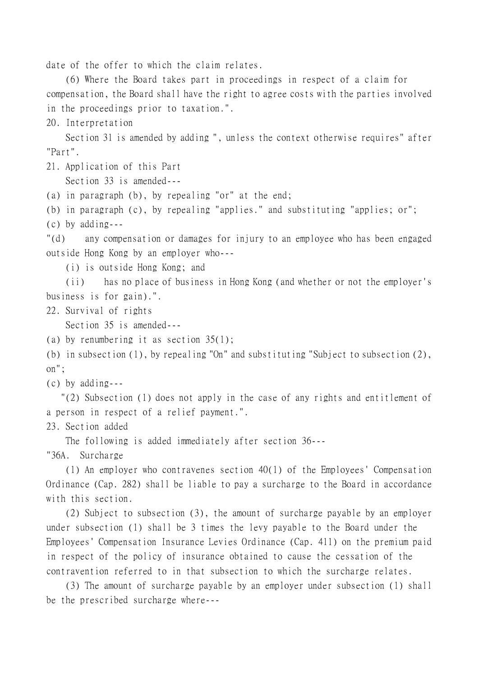date of the offer to which the claim relates.

(6) Where the Board takes part in proceedings in respect of a claim for compensation, the Board shall have the right to agree costs with the parties involved in the proceedings prior to taxation.".

20. Interpretation

Section 31 is amended by adding ", unless the context otherwise requires" after "Part".

21. Application of this Part

Section 33 is amended---

(a) in paragraph (b), by repealing "or" at the end;

(b) in paragraph (c), by repealing "applies." and substituting "applies; or";

(c) by adding---

"(d) any compensation or damages for injury to an employee who has been engaged outside Hong Kong by an employer who---

(i) is outside Hong Kong; and

(ii) has no place of business in Hong Kong (and whether or not the employer's business is for gain).".

22. Survival of rights

Section 35 is amended---

(a) by renumbering it as section 35(1);

(b) in subsection (1), by repealing "On" and substituting "Subject to subsection (2), on";

(c) by adding---

 "(2) Subsection (1) does not apply in the case of any rights and entitlement of a person in respect of a relief payment.".

23. Section added

The following is added immediately after section 36---

"36A. Surcharge

(1) An employer who contravenes section 40(1) of the Employees' Compensation Ordinance (Cap. 282) shall be liable to pay a surcharge to the Board in accordance with this section.

(2) Subject to subsection (3), the amount of surcharge payable by an employer under subsection (1) shall be 3 times the levy payable to the Board under the Employees' Compensation Insurance Levies Ordinance (Cap. 411) on the premium paid in respect of the policy of insurance obtained to cause the cessation of the contravention referred to in that subsection to which the surcharge relates.

(3) The amount of surcharge payable by an employer under subsection (1) shall be the prescribed surcharge where---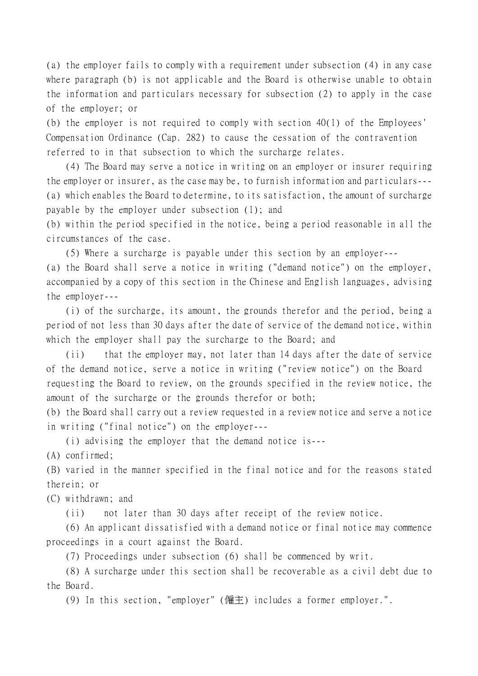(a) the employer fails to comply with a requirement under subsection (4) in any case where paragraph (b) is not applicable and the Board is otherwise unable to obtain the information and particulars necessary for subsection (2) to apply in the case of the employer; or

(b) the employer is not required to comply with section 40(1) of the Employees' Compensation Ordinance (Cap. 282) to cause the cessation of the contravention referred to in that subsection to which the surcharge relates.

(4) The Board may serve a notice in writing on an employer or insurer requiring the employer or insurer, as the case may be, to furnish information and particulars--- (a) which enables the Board to determine, to its satisfaction, the amount of surcharge payable by the employer under subsection (1); and

(b) within the period specified in the notice, being a period reasonable in all the circumstances of the case.

(5) Where a surcharge is payable under this section by an employer--- (a) the Board shall serve a notice in writing ("demand notice") on the employer, accompanied by a copy of this section in the Chinese and English languages, advising the employer---

(i) of the surcharge, its amount, the grounds therefor and the period, being a period of not less than 30 days after the date of service of the demand notice, within which the employer shall pay the surcharge to the Board; and

(ii) that the employer may, not later than 14 days after the date of service of the demand notice, serve a notice in writing ("review notice") on the Board requesting the Board to review, on the grounds specified in the review notice, the amount of the surcharge or the grounds therefor or both;

(b) the Board shall carry out a review requested in a review notice and serve a notice in writing ("final notice") on the employer---

(i) advising the employer that the demand notice is---

(A) confirmed;

(B) varied in the manner specified in the final notice and for the reasons stated therein; or

(C) withdrawn; and

(ii) not later than 30 days after receipt of the review notice.

(6) An applicant dissatisfied with a demand notice or final notice may commence proceedings in a court against the Board.

(7) Proceedings under subsection (6) shall be commenced by writ.

(8) A surcharge under this section shall be recoverable as a civil debt due to the Board.

(9) In this section, "employer" (僱主) includes a former employer.".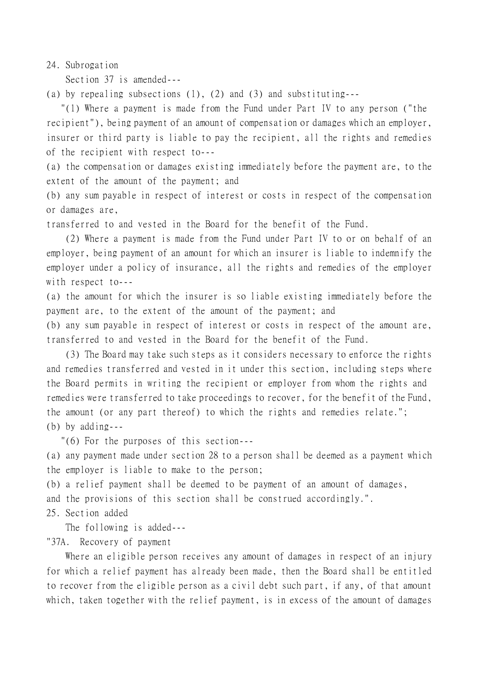24. Subrogation

Section 37 is amended---

(a) by repealing subsections (1), (2) and (3) and substituting---

 "(1) Where a payment is made from the Fund under Part IV to any person ("the recipient"), being payment of an amount of compensation or damages which an employer, insurer or third party is liable to pay the recipient, all the rights and remedies of the recipient with respect to---

(a) the compensation or damages existing immediately before the payment are, to the extent of the amount of the payment; and

(b) any sum payable in respect of interest or costs in respect of the compensation or damages are,

transferred to and vested in the Board for the benefit of the Fund.

(2) Where a payment is made from the Fund under Part IV to or on behalf of an employer, being payment of an amount for which an insurer is liable to indemnify the employer under a policy of insurance, all the rights and remedies of the employer with respect to---

(a) the amount for which the insurer is so liable existing immediately before the payment are, to the extent of the amount of the payment; and

(b) any sum payable in respect of interest or costs in respect of the amount are, transferred to and vested in the Board for the benefit of the Fund.

(3) The Board may take such steps as it considers necessary to enforce the rights and remedies transferred and vested in it under this section, including steps where the Board permits in writing the recipient or employer from whom the rights and remedies were transferred to take proceedings to recover, for the benefit of the Fund, the amount (or any part thereof) to which the rights and remedies relate."; (b) by adding---

"(6) For the purposes of this section---

(a) any payment made under section 28 to a person shall be deemed as a payment which the employer is liable to make to the person;

(b) a relief payment shall be deemed to be payment of an amount of damages,

and the provisions of this section shall be construed accordingly.".

25. Section added

The following is added---

"37A. Recovery of payment

Where an eligible person receives any amount of damages in respect of an injury for which a relief payment has already been made, then the Board shall be entitled to recover from the eligible person as a civil debt such part, if any, of that amount which, taken together with the relief payment, is in excess of the amount of damages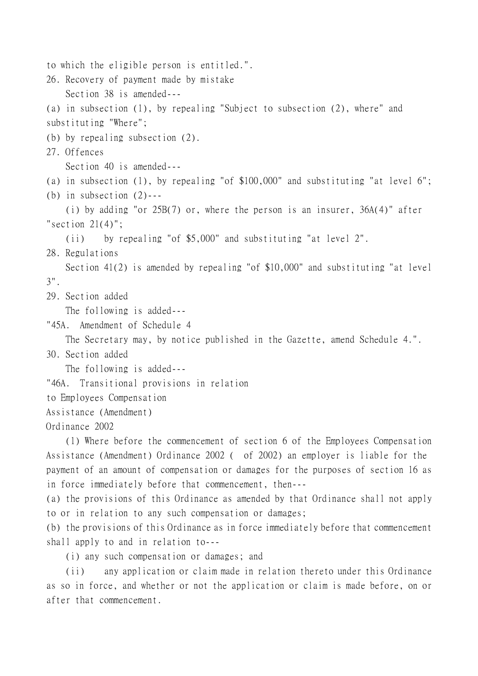```
to which the eligible person is entitled.".
26. Recovery of payment made by mistake
    Section 38 is amended---
(a) in subsection (1), by repealing "Subject to subsection (2), where" and
substituting "Where";
(b) by repealing subsection (2).
27. Offences
    Section 40 is amended---
(a) in subsection (1), by repealing "of $100,000" and substituting "at level 6";
(b) in subsection (2)---
    (i) by adding "or 25B(7) or, where the person is an insurer, 36A(4)" after
"section 21(4)";
    (ii) by repealing "of $5,000" and substituting "at level 2".
28. Regulations
    Section 41(2) is amended by repealing "of $10,000" and substituting "at level
3".
29. Section added
    The following is added---
"45A. Amendment of Schedule 4
    The Secretary may, by notice published in the Gazette, amend Schedule 4.".
30. Section added
    The following is added---
"46A. Transitional provisions in relation
to Employees Compensation
Assistance (Amendment)
Ordinance 2002
    (1) Where before the commencement of section 6 of the Employees Compensation
```
Assistance (Amendment) Ordinance 2002 ( of 2002) an employer is liable for the payment of an amount of compensation or damages for the purposes of section 16 as in force immediately before that commencement, then---

(a) the provisions of this Ordinance as amended by that Ordinance shall not apply to or in relation to any such compensation or damages;

(b) the provisions of this Ordinance as in force immediately before that commencement shall apply to and in relation to---

(i) any such compensation or damages; and

(ii) any application or claim made in relation thereto under this Ordinance as so in force, and whether or not the application or claim is made before, on or after that commencement.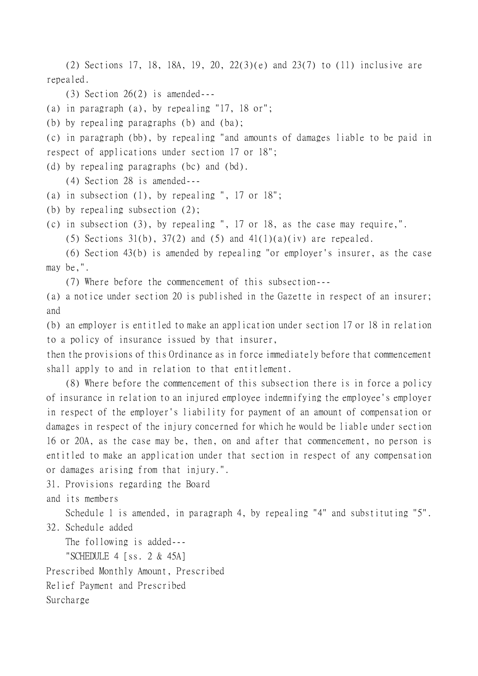(2) Sections 17, 18, 18A, 19, 20, 22(3)(e) and 23(7) to (11) inclusive are repealed.

 $(3)$  Section 26 $(2)$  is amended---

(a) in paragraph (a), by repealing "17, 18 or";

(b) by repealing paragraphs (b) and (ba);

(c) in paragraph (bb), by repealing "and amounts of damages liable to be paid in respect of applications under section 17 or 18";

(d) by repealing paragraphs (bc) and (bd).

(4) Section 28 is amended---

- (a) in subsection (1), by repealing ", 17 or 18";
- (b) by repealing subsection (2);

(c) in subsection (3), by repealing ", 17 or 18, as the case may require,".

(5) Sections 31(b), 37(2) and (5) and 41(1)(a)(iv) are repealed.

(6) Section 43(b) is amended by repealing "or employer's insurer, as the case may be,".

(7) Where before the commencement of this subsection---

(a) a notice under section 20 is published in the Gazette in respect of an insurer; and

(b) an employer is entitled to make an application under section 17 or 18 in relation to a policy of insurance issued by that insurer,

then the provisions of this Ordinance as in force immediately before that commencement shall apply to and in relation to that entitlement.

(8) Where before the commencement of this subsection there is in force a policy of insurance in relation to an injured employee indemnifying the employee's employer in respect of the employer's liability for payment of an amount of compensation or damages in respect of the injury concerned for which he would be liable under section 16 or 20A, as the case may be, then, on and after that commencement, no person is entitled to make an application under that section in respect of any compensation or damages arising from that injury.".

31. Provisions regarding the Board

and its members

Schedule 1 is amended, in paragraph 4, by repealing "4" and substituting "5". 32. Schedule added

The following is added--- "SCHEDULE 4 [ss. 2 & 45A] Prescribed Monthly Amount, Prescribed Relief Payment and Prescribed Surcharge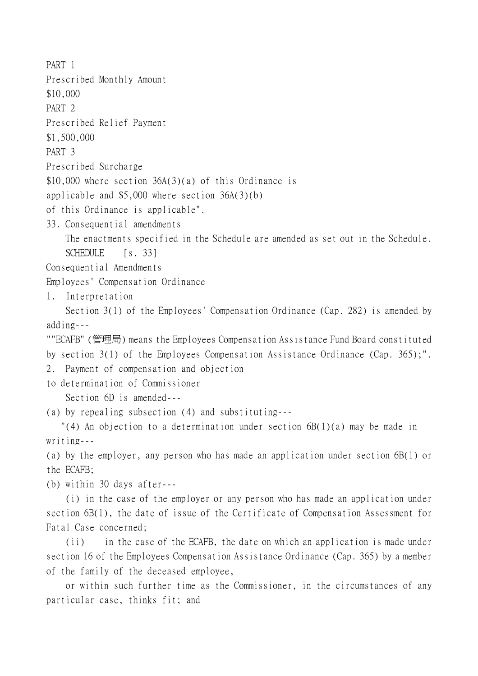PART 1 Prescribed Monthly Amount \$10,000 PART 2 Prescribed Relief Payment \$1,500,000 PART 3 Prescribed Surcharge \$10,000 where section  $36A(3)(a)$  of this Ordinance is applicable and \$5,000 where section 36A(3)(b) of this Ordinance is applicable". 33. Consequential amendments The enactments specified in the Schedule are amended as set out in the Schedule. SCHEDULE [s. 33] Consequential Amendments Employees' Compensation Ordinance 1. Interpretation Section 3(1) of the Employees' Compensation Ordinance (Cap. 282) is amended by adding--- ""ECAFB" (管理局) means the Employees Compensation Assistance Fund Board constituted by section 3(1) of the Employees Compensation Assistance Ordinance (Cap. 365);". 2. Payment of compensation and objection to determination of Commissioner Section 6D is amended--- (a) by repealing subsection (4) and substituting--- "(4) An objection to a determination under section 6B(1)(a) may be made in writing--- (a) by the employer, any person who has made an application under section 6B(1) or the ECAFB; (b) within 30 days after--- (i) in the case of the employer or any person who has made an application under section 6B(1), the date of issue of the Certificate of Compensation Assessment for Fatal Case concerned; (ii) in the case of the ECAFB, the date on which an application is made under

section 16 of the Employees Compensation Assistance Ordinance (Cap. 365) by a member of the family of the deceased employee,

or within such further time as the Commissioner, in the circumstances of any particular case, thinks fit; and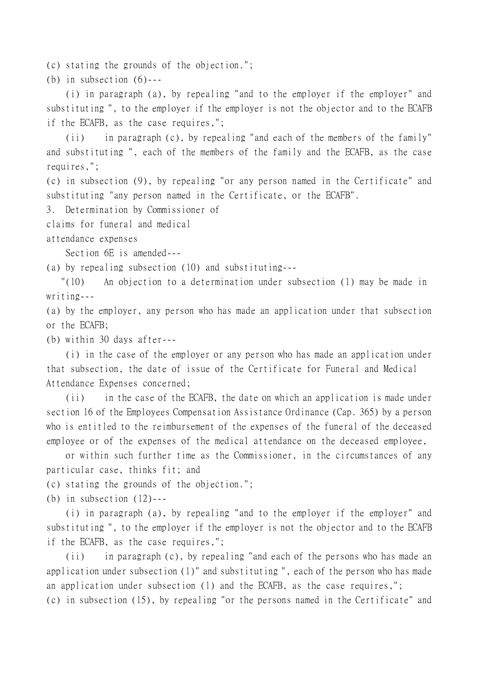(c) stating the grounds of the objection.";

(b) in subsection  $(6)$ ---

(i) in paragraph (a), by repealing "and to the employer if the employer" and substituting ", to the employer if the employer is not the objector and to the ECAFB if the ECAFB, as the case requires,";

(ii) in paragraph (c), by repealing "and each of the members of the family" and substituting ", each of the members of the family and the ECAFB, as the case requires,";

(c) in subsection (9), by repealing "or any person named in the Certificate" and substituting "any person named in the Certificate, or the ECAFB".

3. Determination by Commissioner of

claims for funeral and medical

attendance expenses

Section 6E is amended---

(a) by repealing subsection (10) and substituting---

 "(10) An objection to a determination under subsection (1) may be made in writing---

(a) by the employer, any person who has made an application under that subsection or the ECAFB;

(b) within 30 days after---

(i) in the case of the employer or any person who has made an application under that subsection, the date of issue of the Certificate for Funeral and Medical Attendance Expenses concerned;

(ii) in the case of the ECAFB, the date on which an application is made under section 16 of the Employees Compensation Assistance Ordinance (Cap. 365) by a person who is entitled to the reimbursement of the expenses of the funeral of the deceased employee or of the expenses of the medical attendance on the deceased employee,

or within such further time as the Commissioner, in the circumstances of any particular case, thinks fit; and

(c) stating the grounds of the objection.";

(b) in subsection  $(12)$ ---

(i) in paragraph (a), by repealing "and to the employer if the employer" and substituting ", to the employer if the employer is not the objector and to the ECAFB if the ECAFB, as the case requires,";

(ii) in paragraph (c), by repealing "and each of the persons who has made an application under subsection (1)" and substituting ", each of the person who has made an application under subsection (1) and the ECAFB, as the case requires,"; (c) in subsection (15), by repealing "or the persons named in the Certificate" and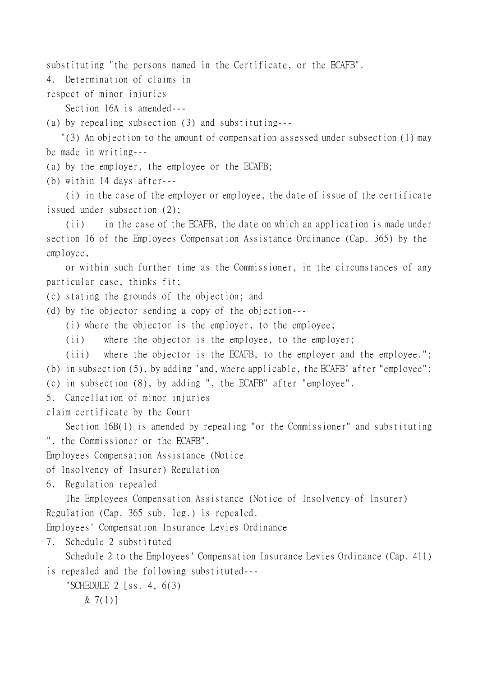substituting "the persons named in the Certificate, or the ECAFB".

4. Determination of claims in

respect of minor injuries

Section 16A is amended---

(a) by repealing subsection (3) and substituting---

 "(3) An objection to the amount of compensation assessed under subsection (1) may be made in writing---

(a) by the employer, the employee or the ECAFB;

(b) within 14 days after---

(i) in the case of the employer or employee, the date of issue of the certificate issued under subsection (2);

(ii) in the case of the ECAFB, the date on which an application is made under section 16 of the Employees Compensation Assistance Ordinance (Cap. 365) by the employee,

or within such further time as the Commissioner, in the circumstances of any particular case, thinks fit;

(c) stating the grounds of the objection; and

(d) by the objector sending a copy of the objection---

(i) where the objector is the employer, to the employee;

(ii) where the objector is the employee, to the employer;

(iii) where the objector is the ECAFB, to the employer and the employee."; (b) in subsection (5), by adding "and, where applicable, the ECAFB" after "employee";

(c) in subsection (8), by adding ", the ECAFB" after "employee".

5. Cancellation of minor injuries

claim certificate by the Court

Section 16B(1) is amended by repealing "or the Commissioner" and substituting ", the Commissioner or the ECAFB".

Employees Compensation Assistance (Notice

of Insolvency of Insurer) Regulation

6. Regulation repealed

The Employees Compensation Assistance (Notice of Insolvency of Insurer) Regulation (Cap. 365 sub. leg.) is repealed.

Employees' Compensation Insurance Levies Ordinance

7. Schedule 2 substituted

Schedule 2 to the Employees' Compensation Insurance Levies Ordinance (Cap. 411)

is repealed and the following substituted---

"SCHEDULE  $2$  [ss. 4, 6(3)]  $& 7(1)$ ]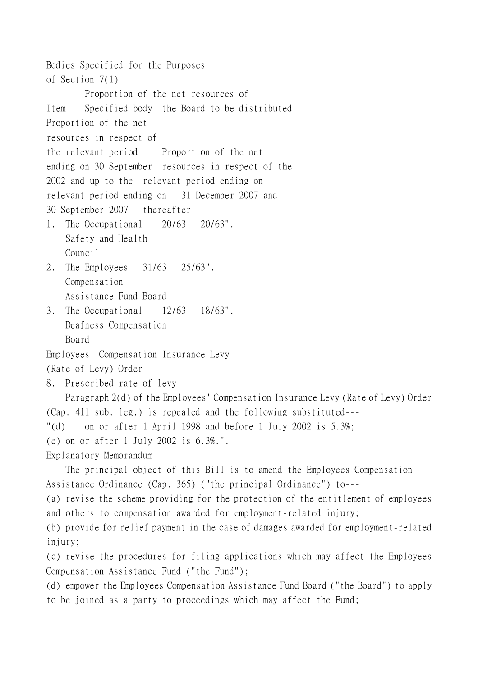Bodies Specified for the Purposes of Section 7(1) Proportion of the net resources of Item Specified body the Board to be distributed Proportion of the net resources in respect of the relevant period Proportion of the net ending on 30 September resources in respect of the 2002 and up to the relevant period ending on relevant period ending on 31 December 2007 and 30 September 2007 thereafter 1. The Occupational 20/63 20/63". Safety and Health Council 2. The Employees 31/63 25/63". Compensation Assistance Fund Board 3. The Occupational 12/63 18/63". Deafness Compensation Board Employees' Compensation Insurance Levy (Rate of Levy) Order 8. Prescribed rate of levy Paragraph 2(d) of the Employees' Compensation Insurance Levy (Rate of Levy) Order (Cap. 411 sub. leg.) is repealed and the following substituted--- "(d) on or after 1 April 1998 and before 1 July 2002 is 5.3%; (e) on or after 1 July 2002 is 6.3%.". Explanatory Memorandum The principal object of this Bill is to amend the Employees Compensation Assistance Ordinance (Cap. 365) ("the principal Ordinance") to--- (a) revise the scheme providing for the protection of the entitlement of employees and others to compensation awarded for employment-related injury; (b) provide for relief payment in the case of damages awarded for employment-related injury; (c) revise the procedures for filing applications which may affect the Employees Compensation Assistance Fund ("the Fund"); (d) empower the Employees Compensation Assistance Fund Board ("the Board") to apply to be joined as a party to proceedings which may affect the Fund;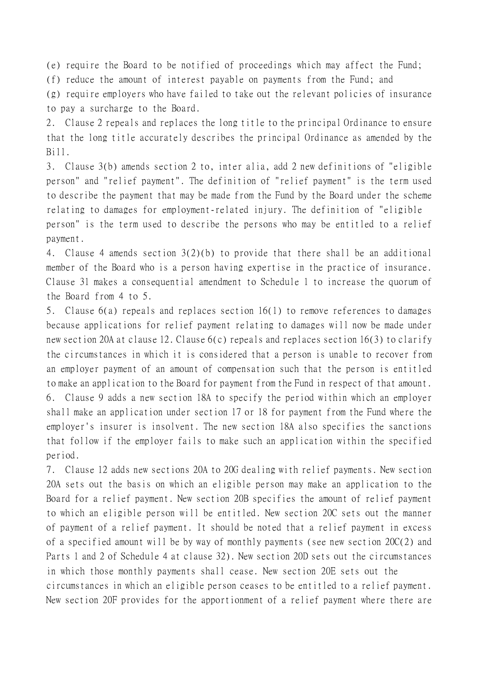(e) require the Board to be notified of proceedings which may affect the Fund;

(f) reduce the amount of interest payable on payments from the Fund; and

(g) require employers who have failed to take out the relevant policies of insurance to pay a surcharge to the Board.

2. Clause 2 repeals and replaces the long title to the principal Ordinance to ensure that the long title accurately describes the principal Ordinance as amended by the Bill.

3. Clause 3(b) amends section 2 to, inter alia, add 2 new definitions of "eligible person" and "relief payment". The definition of "relief payment" is the term used to describe the payment that may be made from the Fund by the Board under the scheme relating to damages for employment-related injury. The definition of "eligible person" is the term used to describe the persons who may be entitled to a relief payment.

4. Clause 4 amends section 3(2)(b) to provide that there shall be an additional member of the Board who is a person having expertise in the practice of insurance. Clause 31 makes a consequential amendment to Schedule 1 to increase the quorum of the Board from 4 to 5.

5. Clause 6(a) repeals and replaces section 16(1) to remove references to damages because applications for relief payment relating to damages will now be made under new section 20A at clause 12. Clause 6(c) repeals and replaces section 16(3) to clarify the circumstances in which it is considered that a person is unable to recover from an employer payment of an amount of compensation such that the person is entitled to make an application to the Board for payment from the Fund in respect of that amount. 6. Clause 9 adds a new section 18A to specify the period within which an employer shall make an application under section 17 or 18 for payment from the Fund where the employer's insurer is insolvent. The new section 18A also specifies the sanctions that follow if the employer fails to make such an application within the specified period.

7. Clause 12 adds new sections 20A to 20G dealing with relief payments. New section 20A sets out the basis on which an eligible person may make an application to the Board for a relief payment. New section 20B specifies the amount of relief payment to which an eligible person will be entitled. New section 20C sets out the manner of payment of a relief payment. It should be noted that a relief payment in excess of a specified amount will be by way of monthly payments (see new section 20C(2) and Parts 1 and 2 of Schedule 4 at clause 32). New section 20D sets out the circumstances in which those monthly payments shall cease. New section 20E sets out the circumstances in which an eligible person ceases to be entitled to a relief payment. New section 20F provides for the apportionment of a relief payment where there are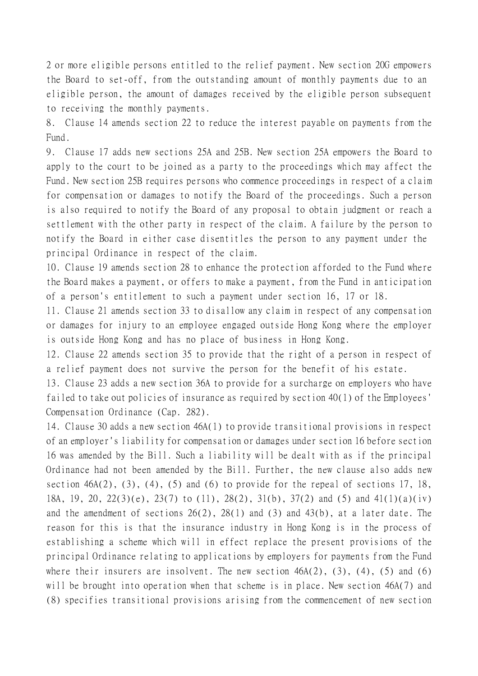2 or more eligible persons entitled to the relief payment. New section 20G empowers the Board to set-off, from the outstanding amount of monthly payments due to an eligible person, the amount of damages received by the eligible person subsequent to receiving the monthly payments.

8. Clause 14 amends section 22 to reduce the interest payable on payments from the Fund.

9. Clause 17 adds new sections 25A and 25B. New section 25A empowers the Board to apply to the court to be joined as a party to the proceedings which may affect the Fund. New section 25B requires persons who commence proceedings in respect of a claim for compensation or damages to notify the Board of the proceedings. Such a person is also required to notify the Board of any proposal to obtain judgment or reach a settlement with the other party in respect of the claim. A failure by the person to notify the Board in either case disentitles the person to any payment under the principal Ordinance in respect of the claim.

10. Clause 19 amends section 28 to enhance the protection afforded to the Fund where the Board makes a payment, or offers to make a payment, from the Fund in anticipation of a person's entitlement to such a payment under section 16, 17 or 18.

11. Clause 21 amends section 33 to disallow any claim in respect of any compensation or damages for injury to an employee engaged outside Hong Kong where the employer is outside Hong Kong and has no place of business in Hong Kong.

12. Clause 22 amends section 35 to provide that the right of a person in respect of a relief payment does not survive the person for the benefit of his estate.

13. Clause 23 adds a new section 36A to provide for a surcharge on employers who have failed to take out policies of insurance as required by section 40(1) of the Employees' Compensation Ordinance (Cap. 282).

14. Clause 30 adds a new section 46A(1) to provide transitional provisions in respect of an employer's liability for compensation or damages under section 16 before section 16 was amended by the Bill. Such a liability will be dealt with as if the principal Ordinance had not been amended by the Bill. Further, the new clause also adds new section  $46A(2)$ ,  $(3)$ ,  $(4)$ ,  $(5)$  and  $(6)$  to provide for the repeal of sections 17, 18, 18A, 19, 20, 22(3)(e), 23(7) to (11), 28(2), 31(b), 37(2) and (5) and 41(1)(a)(iv) and the amendment of sections 26(2), 28(1) and (3) and 43(b), at a later date. The reason for this is that the insurance industry in Hong Kong is in the process of establishing a scheme which will in effect replace the present provisions of the principal Ordinance relating to applications by employers for payments from the Fund where their insurers are insolvent. The new section  $46A(2)$ ,  $(3)$ ,  $(4)$ ,  $(5)$  and  $(6)$ will be brought into operation when that scheme is in place. New section 46A(7) and (8) specifies transitional provisions arising from the commencement of new section